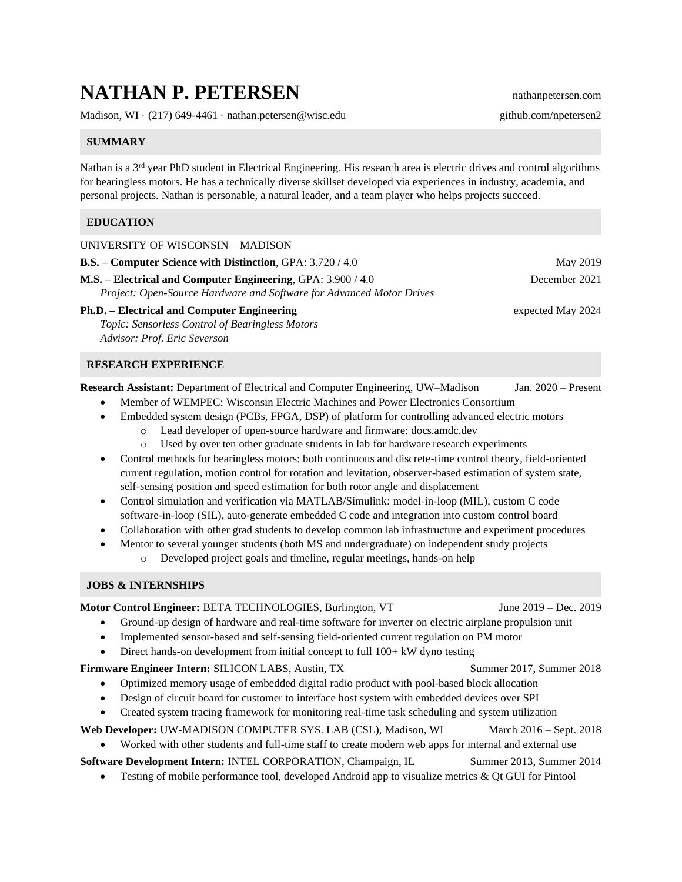# **NATHAN P. PETERSEN** nathanpetersen.com

Madison, WI · (217) 649-4461 · nathan.petersen@wisc.edu github.com/npetersen2

## **SUMMARY**

Nathan is a 3<sup>rd</sup> year PhD student in Electrical Engineering. His research area is electric drives and control algorithms for bearingless motors. He has a technically diverse skillset developed via experiences in industry, academia, and personal projects. Nathan is personable, a natural leader, and a team player who helps projects succeed.

### **EDUCATION**

| UNIVERSITY OF WISCONSIN - MADISON                                                                                                    |                   |
|--------------------------------------------------------------------------------------------------------------------------------------|-------------------|
| <b>B.S.</b> – Computer Science with Distinction, GPA: 3.720 / 4.0                                                                    | May 2019          |
| M.S. – Electrical and Computer Engineering, GPA: 3.900 / 4.0<br>Project: Open-Source Hardware and Software for Advanced Motor Drives | December 2021     |
| <b>Ph.D.</b> – Electrical and Computer Engineering                                                                                   | expected May 2024 |
| <i>Topic: Sensorless Control of Bearingless Motors</i>                                                                               |                   |

*Advisor: Prof. Eric Severson*

#### **RESEARCH EXPERIENCE**

**Research Assistant:** Department of Electrical and Computer Engineering, UW–Madison Jan. 2020 – Present

- Member of WEMPEC: Wisconsin Electric Machines and Power Electronics Consortium
- Embedded system design (PCBs, FPGA, DSP) of platform for controlling advanced electric motors
	- o Lead developer of open-source hardware and firmware: docs.amdc.dev
		- o Used by over ten other graduate students in lab for hardware research experiments
- Control methods for bearingless motors: both continuous and discrete-time control theory, field-oriented current regulation, motion control for rotation and levitation, observer-based estimation of system state, self-sensing position and speed estimation for both rotor angle and displacement
- Control simulation and verification via MATLAB/Simulink: model-in-loop (MIL), custom C code software-in-loop (SIL), auto-generate embedded C code and integration into custom control board
- Collaboration with other grad students to develop common lab infrastructure and experiment procedures
- Mentor to several younger students (both MS and undergraduate) on independent study projects
	- o Developed project goals and timeline, regular meetings, hands-on help

#### **JOBS & INTERNSHIPS**

| Motor Control Engineer: BETA TECHNOLOGIES, Burlington, VT                                                           | June $2019 - Dec. 2019$   |  |
|---------------------------------------------------------------------------------------------------------------------|---------------------------|--|
| Ground-up design of hardware and real-time software for inverter on electric airplane propulsion unit<br>$\bullet$  |                           |  |
| Implemented sensor-based and self-sensing field-oriented current regulation on PM motor<br>$\bullet$                |                           |  |
| Direct hands-on development from initial concept to full $100+ kW$ dyno testing<br>$\bullet$                        |                           |  |
| Firmware Engineer Intern: SILICON LABS, Austin, TX                                                                  | Summer 2017, Summer 2018  |  |
| Optimized memory usage of embedded digital radio product with pool-based block allocation<br>$\bullet$              |                           |  |
| Design of circuit board for customer to interface host system with embedded devices over SPI<br>$\bullet$           |                           |  |
| Created system tracing framework for monitoring real-time task scheduling and system utilization<br>$\bullet$       |                           |  |
| Web Developer: UW-MADISON COMPUTER SYS. LAB (CSL), Madison, WI                                                      | March $2016 -$ Sept. 2018 |  |
| Worked with other students and full-time staff to create modern web apps for internal and external use<br>$\bullet$ |                           |  |
| Software Development Intern: INTEL CORPORATION, Champaign, IL                                                       | Summer 2013, Summer 2014  |  |
| Testing of mobile performance tool, developed Android app to visualize metrics & Qt GUI for Pintool<br>$\bullet$    |                           |  |